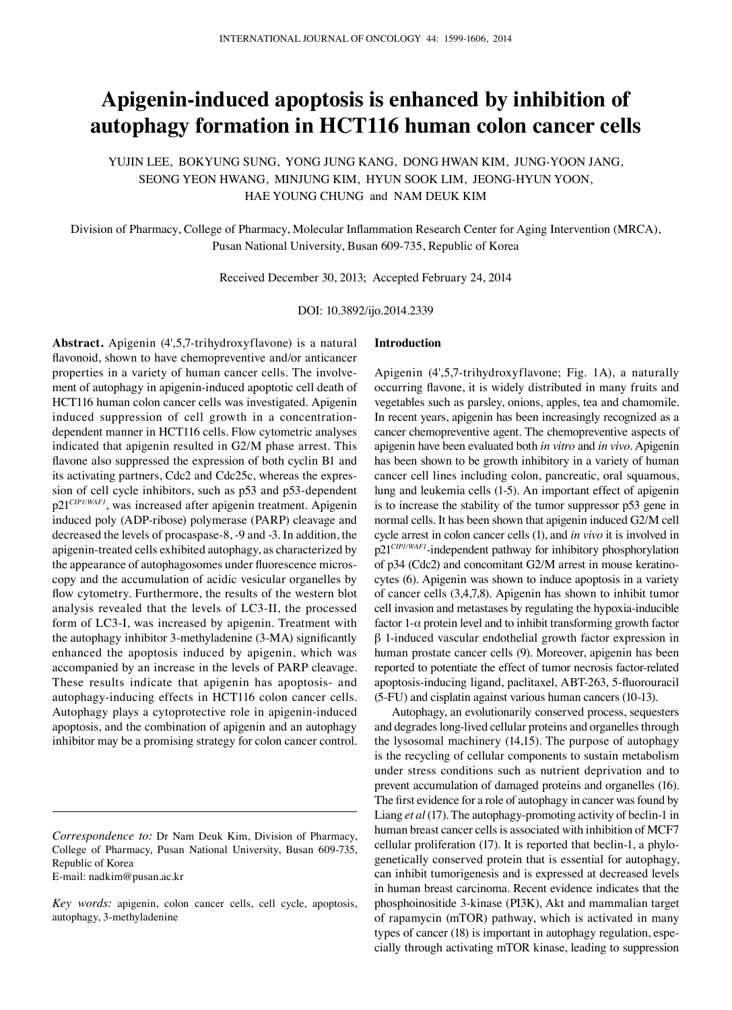# **Apigenin-induced apoptosis is enhanced by inhibition of autophagy formation in HCT116 human colon cancer cells**

YUJIN LEE, BOKYUNG SUNG, YONG JUNG KANG, DONG HWAN KIM, JUNG-YOON JANG, SEONG YEON HWANG, MINJUNG KIM, HYUN SOOK LIM, JEONG-HYUN YOON, HAE YOUNG CHUNG and NAM DEUK KIM

Division of Pharmacy, College of Pharmacy, Molecular Inflammation Research Center for Aging Intervention (MRCA), Pusan National University, Busan 609-735, Republic of Korea

Received December 30, 2013; Accepted February 24, 2014

DOI: 10.3892/ijo.2014.2339

**Abstract.** Apigenin (4',5,7-trihydroxyflavone) is a natural flavonoid, shown to have chemopreventive and/or anticancer properties in a variety of human cancer cells. The involvement of autophagy in apigenin-induced apoptotic cell death of HCT116 human colon cancer cells was investigated. Apigenin induced suppression of cell growth in a concentrationdependent manner in HCT116 cells. Flow cytometric analyses indicated that apigenin resulted in G2/M phase arrest. This flavone also suppressed the expression of both cyclin B1 and its activating partners, Cdc2 and Cdc25c, whereas the expression of cell cycle inhibitors, such as p53 and p53-dependent p21*CIP1/WAF1*, was increased after apigenin treatment. Apigenin induced poly (ADP-ribose) polymerase (PARP) cleavage and decreased the levels of procaspase-8, -9 and -3. In addition, the apigenin-treated cells exhibited autophagy, as characterized by the appearance of autophagosomes under fluorescence microscopy and the accumulation of acidic vesicular organelles by flow cytometry. Furthermore, the results of the western blot analysis revealed that the levels of LC3-II, the processed form of LC3-I, was increased by apigenin. Treatment with the autophagy inhibitor 3-methyladenine (3-MA) significantly enhanced the apoptosis induced by apigenin, which was accompanied by an increase in the levels of PARP cleavage. These results indicate that apigenin has apoptosis- and autophagy-inducing effects in HCT116 colon cancer cells. Autophagy plays a cytoprotective role in apigenin-induced apoptosis, and the combination of apigenin and an autophagy inhibitor may be a promising strategy for colon cancer control.

E-mail: nadkim@pusan.ac.kr

## **Introduction**

Apigenin (4',5,7-trihydroxyflavone; Fig. 1A), a naturally occurring flavone, it is widely distributed in many fruits and vegetables such as parsley, onions, apples, tea and chamomile. In recent years, apigenin has been increasingly recognized as a cancer chemopreventive agent. The chemopreventive aspects of apigenin have been evaluated both *in vitro* and *in vivo*. Apigenin has been shown to be growth inhibitory in a variety of human cancer cell lines including colon, pancreatic, oral squamous, lung and leukemia cells (1-5). An important effect of apigenin is to increase the stability of the tumor suppressor p53 gene in normal cells. It has been shown that apigenin induced G2/M cell cycle arrest in colon cancer cells (1), and *in vivo* it is involved in p21*CIP1/WAF1*‑independent pathway for inhibitory phosphorylation of p34 (Cdc2) and concomitant G2/M arrest in mouse keratinocytes (6). Apigenin was shown to induce apoptosis in a variety of cancer cells (3,4,7,8). Apigenin has shown to inhibit tumor cell invasion and metastases by regulating the hypoxia-inducible factor 1- $\alpha$  protein level and to inhibit transforming growth factor β 1-induced vascular endothelial growth factor expression in human prostate cancer cells (9). Moreover, apigenin has been reported to potentiate the effect of tumor necrosis factor-related apoptosis-inducing ligand, paclitaxel, ABT-263, 5-fluorouracil (5-FU) and cisplatin against various human cancers (10-13).

Autophagy, an evolutionarily conserved process, sequesters and degrades long-lived cellular proteins and organelles through the lysosomal machinery (14,15). The purpose of autophagy is the recycling of cellular components to sustain metabolism under stress conditions such as nutrient deprivation and to prevent accumulation of damaged proteins and organelles (16). The first evidence for a role of autophagy in cancer was found by Liang *et al* (17). The autophagy-promoting activity of beclin-1 in human breast cancer cells is associated with inhibition of MCF7 cellular proliferation (17). It is reported that beclin-1, a phylogenetically conserved protein that is essential for autophagy, can inhibit tumorigenesis and is expressed at decreased levels in human breast carcinoma. Recent evidence indicates that the phosphoinositide 3-kinase (PI3K), Akt and mammalian target of rapamycin (mTOR) pathway, which is activated in many types of cancer (18) is important in autophagy regulation, especially through activating mTOR kinase, leading to suppression

*Correspondence to:* Dr Nam Deuk Kim, Division of Pharmacy, College of Pharmacy, Pusan National University, Busan 609-735, Republic of Korea

*Key words:* apigenin, colon cancer cells, cell cycle, apoptosis, autophagy, 3-methyladenine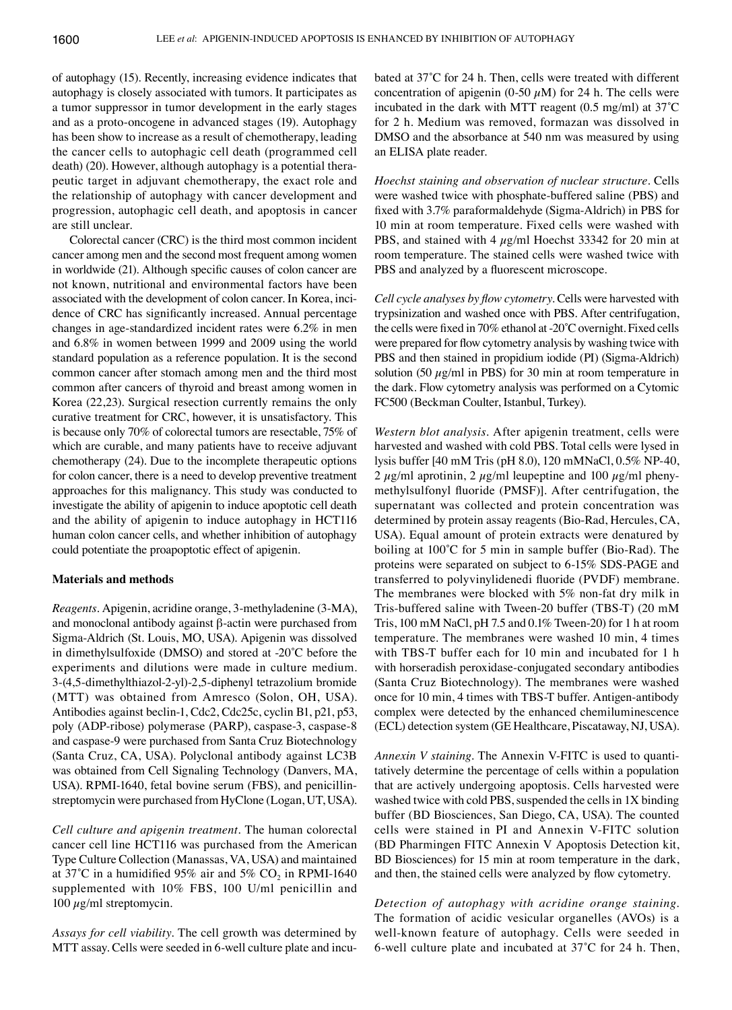of autophagy (15). Recently, increasing evidence indicates that autophagy is closely associated with tumors. It participates as a tumor suppressor in tumor development in the early stages and as a proto-oncogene in advanced stages (19). Autophagy has been show to increase as a result of chemotherapy, leading the cancer cells to autophagic cell death (programmed cell death) (20). However, although autophagy is a potential therapeutic target in adjuvant chemotherapy, the exact role and the relationship of autophagy with cancer development and progression, autophagic cell death, and apoptosis in cancer are still unclear.

Colorectal cancer (CRC) is the third most common incident cancer among men and the second most frequent among women in worldwide (21). Although specific causes of colon cancer are not known, nutritional and environmental factors have been associated with the development of colon cancer. In Korea, incidence of CRC has significantly increased. Annual percentage changes in age-standardized incident rates were 6.2% in men and 6.8% in women between 1999 and 2009 using the world standard population as a reference population. It is the second common cancer after stomach among men and the third most common after cancers of thyroid and breast among women in Korea (22,23). Surgical resection currently remains the only curative treatment for CRC, however, it is unsatisfactory. This is because only 70% of colorectal tumors are resectable, 75% of which are curable, and many patients have to receive adjuvant chemotherapy (24). Due to the incomplete therapeutic options for colon cancer, there is a need to develop preventive treatment approaches for this malignancy. This study was conducted to investigate the ability of apigenin to induce apoptotic cell death and the ability of apigenin to induce autophagy in HCT116 human colon cancer cells, and whether inhibition of autophagy could potentiate the proapoptotic effect of apigenin.

## **Materials and methods**

*Reagents.* Apigenin, acridine orange, 3-methyladenine (3-MA), and monoclonal antibody against β-actin were purchased from Sigma-Aldrich (St. Louis, MO, USA). Apigenin was dissolved in dimethylsulfoxide (DMSO) and stored at -20˚C before the experiments and dilutions were made in culture medium. 3-(4,5-dimethylthiazol-2-yl)-2,5-diphenyl tetrazolium bromide (MTT) was obtained from Amresco (Solon, OH, USA). Antibodies against beclin-1, Cdc2, Cdc25c, cyclin B1, p21, p53, poly (ADP-ribose) polymerase (PARP), caspase-3, caspase-8 and caspase-9 were purchased from Santa Cruz Biotechnology (Santa Cruz, CA, USA). Polyclonal antibody against LC3B was obtained from Cell Signaling Technology (Danvers, MA, USA). RPMI-1640, fetal bovine serum (FBS), and penicillinstreptomycin were purchased from HyClone (Logan, UT, USA).

*Cell culture and apigenin treatment.* The human colorectal cancer cell line HCT116 was purchased from the American Type Culture Collection (Manassas, VA, USA) and maintained at 37°C in a humidified 95% air and 5%  $CO<sub>2</sub>$  in RPMI-1640 supplemented with 10% FBS, 100 U/ml penicillin and 100  $\mu$ g/ml streptomycin.

*Assays for cell viability.* The cell growth was determined by MTT assay. Cells were seeded in 6-well culture plate and incubated at 37˚C for 24 h. Then, cells were treated with different concentration of apigenin (0-50  $\mu$ M) for 24 h. The cells were incubated in the dark with MTT reagent (0.5 mg/ml) at 37˚C for 2 h. Medium was removed, formazan was dissolved in DMSO and the absorbance at 540 nm was measured by using an ELISA plate reader.

*Hoechst staining and observation of nuclear structure.* Cells were washed twice with phosphate-buffered saline (PBS) and fixed with 3.7% paraformaldehyde (Sigma-Aldrich) in PBS for 10 min at room temperature. Fixed cells were washed with PBS, and stained with 4  $\mu$ g/ml Hoechst 33342 for 20 min at room temperature. The stained cells were washed twice with PBS and analyzed by a fluorescent microscope.

*Cell cycle analyses by flow cytometry.* Cells were harvested with trypsinization and washed once with PBS. After centrifugation, the cells were fixed in 70% ethanol at -20˚C overnight. Fixed cells were prepared for flow cytometry analysis by washing twice with PBS and then stained in propidium iodide (PI) (Sigma-Aldrich) solution (50  $\mu$ g/ml in PBS) for 30 min at room temperature in the dark. Flow cytometry analysis was performed on a Cytomic FC500 (Beckman Coulter, Istanbul, Turkey).

*Western blot analysis.* After apigenin treatment, cells were harvested and washed with cold PBS. Total cells were lysed in lysis buffer [40 mM Tris (pH 8.0), 120 mMNaCl, 0.5% NP-40, 2  $\mu$ g/ml aprotinin, 2  $\mu$ g/ml leupeptine and 100  $\mu$ g/ml phenymethylsulfonyl fluoride (PMSF)]. After centrifugation, the supernatant was collected and protein concentration was determined by protein assay reagents (Bio-Rad, Hercules, CA, USA). Equal amount of protein extracts were denatured by boiling at 100˚C for 5 min in sample buffer (Bio-Rad). The proteins were separated on subject to 6-15% SDS-PAGE and transferred to polyvinylidenedi fluoride (PVDF) membrane. The membranes were blocked with 5% non-fat dry milk in Tris-buffered saline with Tween‑20 buffer (TBS-T) (20 mM Tris, 100 mM NaCl, pH 7.5 and 0.1% Tween‑20) for 1 h at room temperature. The membranes were washed 10 min, 4 times with TBS-T buffer each for 10 min and incubated for 1 h with horseradish peroxidase-conjugated secondary antibodies (Santa Cruz Biotechnology). The membranes were washed once for 10 min, 4 times with TBS-T buffer. Antigen-antibody complex were detected by the enhanced chemiluminescence (ECL) detection system (GE Healthcare, Piscataway, NJ, USA).

*Annexin V staining.* The Annexin V-FITC is used to quantitatively determine the percentage of cells within a population that are actively undergoing apoptosis. Cells harvested were washed twice with cold PBS, suspended the cells in 1X binding buffer (BD Biosciences, San Diego, CA, USA). The counted cells were stained in PI and Annexin V-FITC solution (BD Pharmingen FITC Annexin V Apoptosis Detection kit, BD Biosciences) for 15 min at room temperature in the dark, and then, the stained cells were analyzed by flow cytometry.

*Detection of autophagy with acridine orange staining.*  The formation of acidic vesicular organelles (AVOs) is a well-known feature of autophagy. Cells were seeded in 6-well culture plate and incubated at 37˚C for 24 h. Then,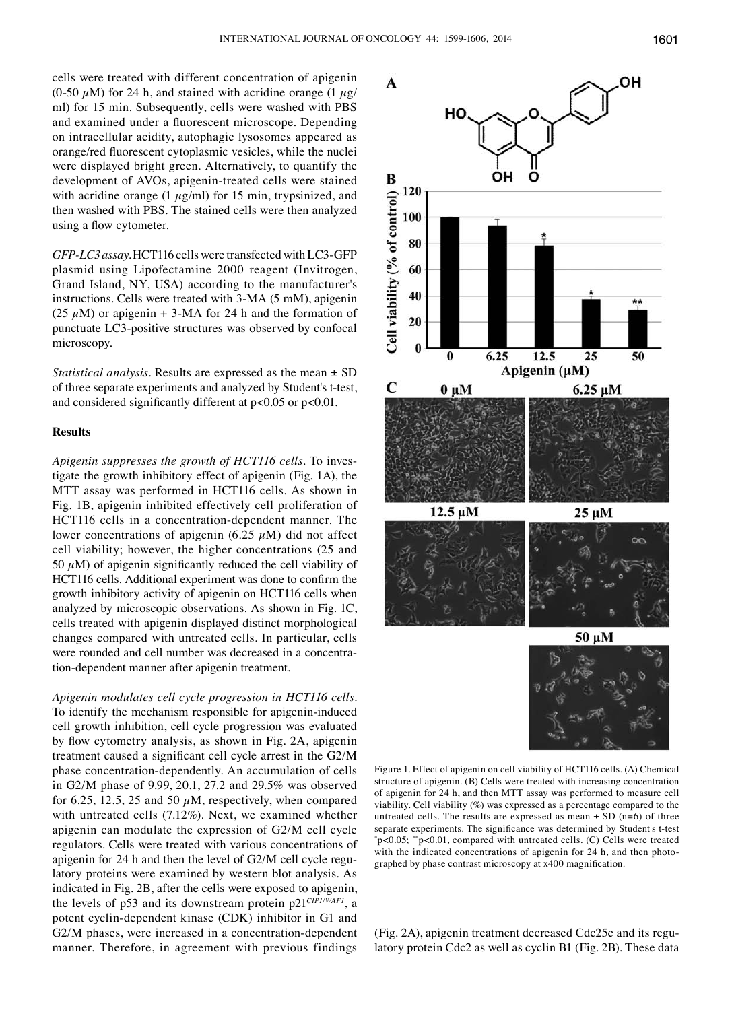cells were treated with different concentration of apigenin (0-50  $\mu$ M) for 24 h, and stained with acridine orange (1  $\mu$ g/ ml) for 15 min. Subsequently, cells were washed with PBS and examined under a fluorescent microscope. Depending on intracellular acidity, autophagic lysosomes appeared as orange/red fluorescent cytoplasmic vesicles, while the nuclei were displayed bright green. Alternatively, to quantify the development of AVOs, apigenin-treated cells were stained with acridine orange (1  $\mu$ g/ml) for 15 min, trypsinized, and then washed with PBS. The stained cells were then analyzed using a flow cytometer.

*GFP-LC3 assay.* HCT116 cells were transfected with LC3-GFP plasmid using Lipofectamine 2000 reagent (Invitrogen, Grand Island, NY, USA) according to the manufacturer's instructions. Cells were treated with 3-MA (5 mM), apigenin (25  $\mu$ M) or apigenin + 3-MA for 24 h and the formation of punctuate LC3-positive structures was observed by confocal microscopy.

*Statistical analysis.* Results are expressed as the mean  $\pm$  SD of three separate experiments and analyzed by Student's t-test, and considered significantly different at p<0.05 or p<0.01.

### **Results**

*Apigenin suppresses the growth of HCT116 cells.* To investigate the growth inhibitory effect of apigenin (Fig. 1A), the MTT assay was performed in HCT116 cells. As shown in Fig. 1B, apigenin inhibited effectively cell proliferation of HCT116 cells in a concentration-dependent manner. The lower concentrations of apigenin  $(6.25 \mu M)$  did not affect cell viability; however, the higher concentrations (25 and 50  $\mu$ M) of apigenin significantly reduced the cell viability of HCT116 cells. Additional experiment was done to confirm the growth inhibitory activity of apigenin on HCT116 cells when analyzed by microscopic observations. As shown in Fig. 1C, cells treated with apigenin displayed distinct morphological changes compared with untreated cells. In particular, cells were rounded and cell number was decreased in a concentration-dependent manner after apigenin treatment.

*Apigenin modulates cell cycle progression in HCT116 cells.*  To identify the mechanism responsible for apigenin-induced cell growth inhibition, cell cycle progression was evaluated by flow cytometry analysis, as shown in Fig. 2A, apigenin treatment caused a significant cell cycle arrest in the G2/M phase concentration-dependently. An accumulation of cells in G2/M phase of 9.99, 20.1, 27.2 and 29.5% was observed for 6.25, 12.5, 25 and 50  $\mu$ M, respectively, when compared with untreated cells (7.12%). Next, we examined whether apigenin can modulate the expression of G2/M cell cycle regulators. Cells were treated with various concentrations of apigenin for 24 h and then the level of G2/M cell cycle regulatory proteins were examined by western blot analysis. As indicated in Fig. 2B, after the cells were exposed to apigenin, the levels of p53 and its downstream protein p21*CIP1/WAF1*, a potent cyclin-dependent kinase (CDK) inhibitor in G1 and G2/M phases, were increased in a concentration-dependent manner. Therefore, in agreement with previous findings



Figure 1. Effect of apigenin on cell viability of HCT116 cells. (A) Chemical structure of apigenin. (B) Cells were treated with increasing concentration of apigenin for 24 h, and then MTT assay was performed to measure cell viability. Cell viability (%) was expressed as a percentage compared to the untreated cells. The results are expressed as mean  $\pm$  SD (n=6) of three separate experiments. The significance was determined by Student's t-test \* p<0.05; \*\*p<0.01, compared with untreated cells. (C) Cells were treated with the indicated concentrations of apigenin for 24 h, and then photographed by phase contrast microscopy at x400 magnification.

(Fig. 2A), apigenin treatment decreased Cdc25c and its regulatory protein Cdc2 as well as cyclin B1 (Fig. 2B). These data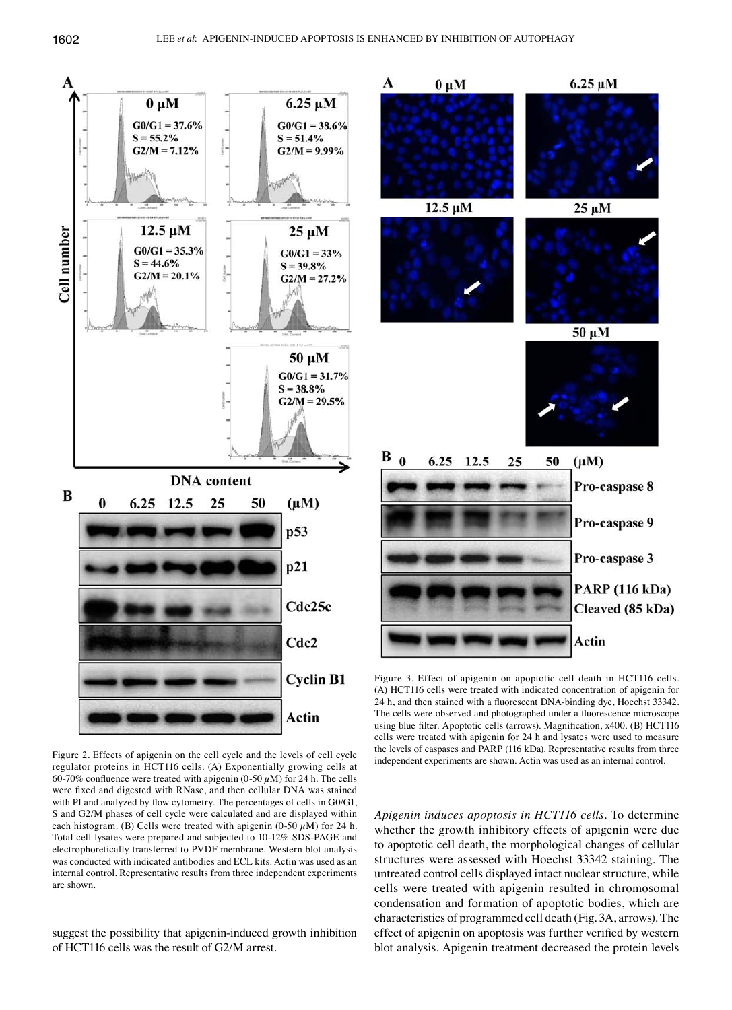

Figure 2. Effects of apigenin on the cell cycle and the levels of cell cycle regulator proteins in HCT116 cells. (A) Exponentially growing cells at 60-70% confluence were treated with apigenin (0-50  $\mu$ M) for 24 h. The cells were fixed and digested with RNase, and then cellular DNA was stained with PI and analyzed by flow cytometry. The percentages of cells in G0/G1, S and G2/M phases of cell cycle were calculated and are displayed within each histogram. (B) Cells were treated with apigenin (0-50  $\mu$ M) for 24 h. Total cell lysates were prepared and subjected to 10-12% SDS-PAGE and electrophoretically transferred to PVDF membrane. Western blot analysis was conducted with indicated antibodies and ECL kits. Actin was used as an internal control. Representative results from three independent experiments are shown.

suggest the possibility that apigenin-induced growth inhibition of HCT116 cells was the result of G2/M arrest.

*Apigenin induces apoptosis in HCT116 cells.* To determine whether the growth inhibitory effects of apigenin were due the levels of caspases and PARP (116 kDa). Representative results from three independent experiments are shown. Actin was used as an internal control.

to apoptotic cell death, the morphological changes of cellular structures were assessed with Hoechst 33342 staining. The untreated control cells displayed intact nuclear structure, while cells were treated with apigenin resulted in chromosomal condensation and formation of apoptotic bodies, which are characteristics of programmed cell death (Fig. 3A, arrows). The effect of apigenin on apoptosis was further verified by western blot analysis. Apigenin treatment decreased the protein levels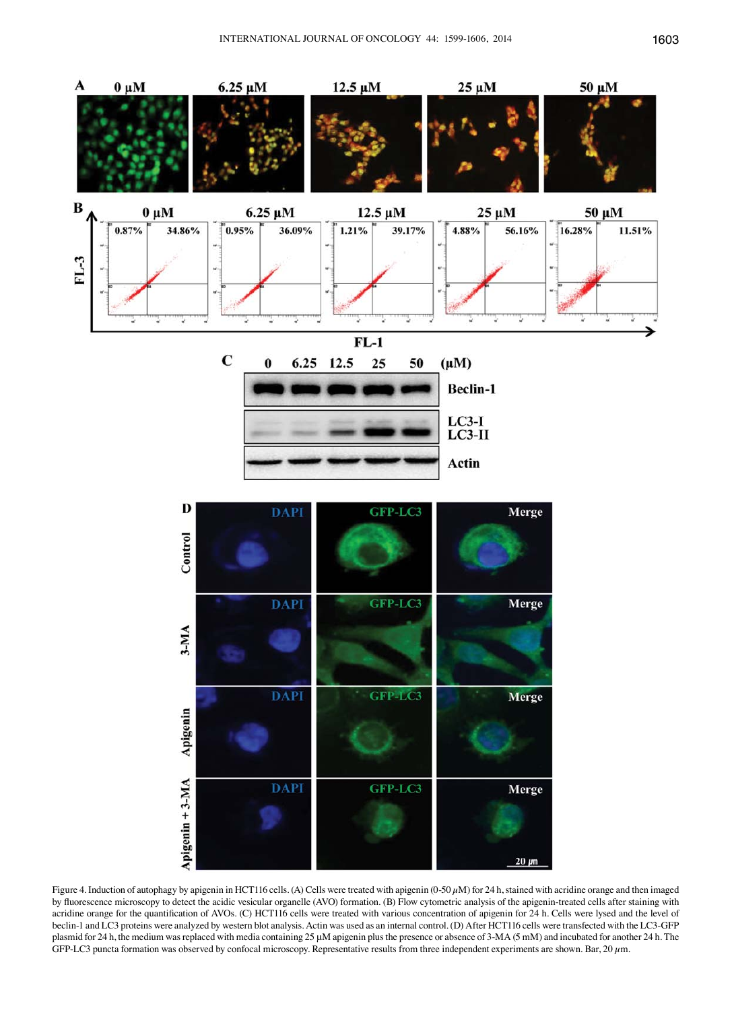

Figure 4. Induction of autophagy by apigenin in HCT116 cells. (A) Cells were treated with apigenin (0-50  $\mu$ M) for 24 h, stained with acridine orange and then imaged by fluorescence microscopy to detect the acidic vesicular organelle (AVO) formation. (B) Flow cytometric analysis of the apigenin-treated cells after staining with acridine orange for the quantification of AVOs. (C) HCT116 cells were treated with various concentration of apigenin for 24 h. Cells were lysed and the level of beclin-1 and LC3 proteins were analyzed by western blot analysis. Actin was used as an internal control. (D) After HCT116 cells were transfected with the LC3-GFP plasmid for 24 h, the medium was replaced with media containing 25 μM apigenin plus the presence or absence of 3-MA (5 mM) and incubated for another 24 h. The GFP-LC3 puncta formation was observed by confocal microscopy. Representative results from three independent experiments are shown. Bar, 20  $\mu$ m.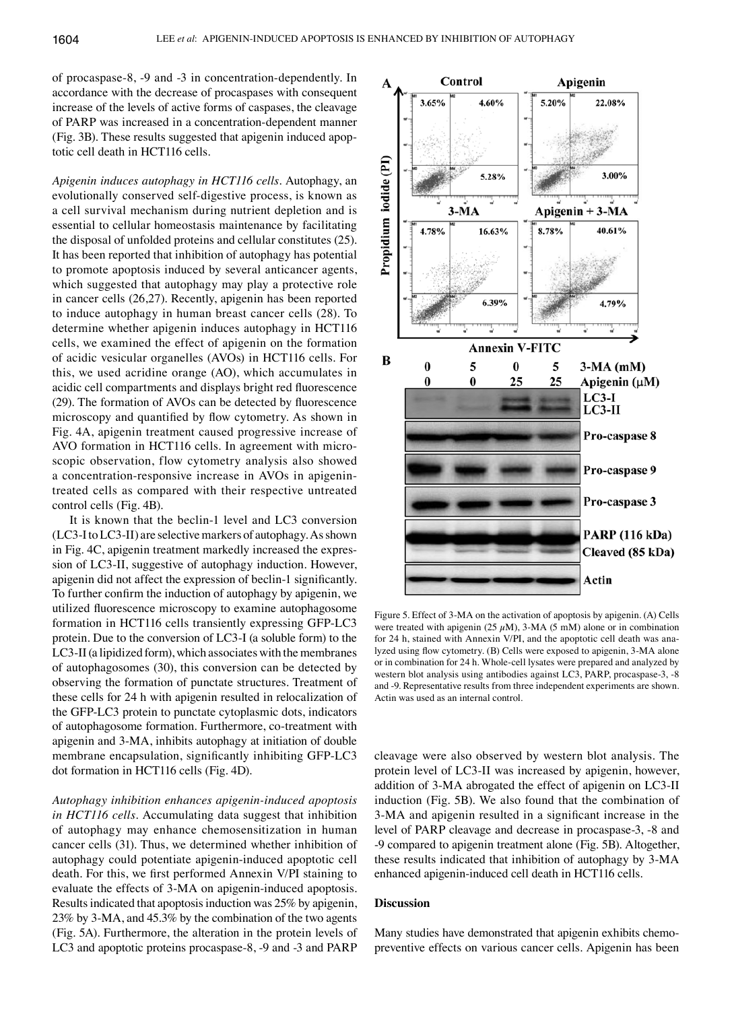of procaspase-8, -9 and -3 in concentration-dependently. In accordance with the decrease of procaspases with consequent increase of the levels of active forms of caspases, the cleavage of PARP was increased in a concentration-dependent manner (Fig. 3B). These results suggested that apigenin induced apoptotic cell death in HCT116 cells.

*Apigenin induces autophagy in HCT116 cells.* Autophagy, an evolutionally conserved self-digestive process, is known as a cell survival mechanism during nutrient depletion and is essential to cellular homeostasis maintenance by facilitating the disposal of unfolded proteins and cellular constitutes (25). It has been reported that inhibition of autophagy has potential to promote apoptosis induced by several anticancer agents, which suggested that autophagy may play a protective role in cancer cells (26,27). Recently, apigenin has been reported to induce autophagy in human breast cancer cells (28). To determine whether apigenin induces autophagy in HCT116 cells, we examined the effect of apigenin on the formation of acidic vesicular organelles (AVOs) in HCT116 cells. For this, we used acridine orange (AO), which accumulates in acidic cell compartments and displays bright red fluorescence (29). The formation of AVOs can be detected by fluorescence microscopy and quantified by flow cytometry. As shown in Fig. 4A, apigenin treatment caused progressive increase of AVO formation in HCT116 cells. In agreement with microscopic observation, flow cytometry analysis also showed a concentration-responsive increase in AVOs in apigenintreated cells as compared with their respective untreated control cells (Fig. 4B).

It is known that the beclin-1 level and LC3 conversion (LC3-I to LC3-II) are selective markers of autophagy. As shown in Fig. 4C, apigenin treatment markedly increased the expression of LC3-II, suggestive of autophagy induction. However, apigenin did not affect the expression of beclin-1 significantly. To further confirm the induction of autophagy by apigenin, we utilized fluorescence microscopy to examine autophagosome formation in HCT116 cells transiently expressing GFP-LC3 protein. Due to the conversion of LC3-I (a soluble form) to the LC3-II (a lipidized form), which associates with the membranes of autophagosomes (30), this conversion can be detected by observing the formation of punctate structures. Treatment of these cells for 24 h with apigenin resulted in relocalization of the GFP-LC3 protein to punctate cytoplasmic dots, indicators of autophagosome formation. Furthermore, co-treatment with apigenin and 3-MA, inhibits autophagy at initiation of double membrane encapsulation, significantly inhibiting GFP-LC3 dot formation in HCT116 cells (Fig. 4D).

*Autophagy inhibition enhances apigenin-induced apoptosis in HCT116 cells.* Accumulating data suggest that inhibition of autophagy may enhance chemosensitization in human cancer cells (31). Thus, we determined whether inhibition of autophagy could potentiate apigenin-induced apoptotic cell death. For this, we first performed Annexin V/PI staining to evaluate the effects of 3-MA on apigenin-induced apoptosis. Results indicated that apoptosis induction was 25% by apigenin, 23% by 3-MA, and 45.3% by the combination of the two agents (Fig. 5A). Furthermore, the alteration in the protein levels of LC3 and apoptotic proteins procaspase-8, -9 and -3 and PARP



Figure 5. Effect of 3-MA on the activation of apoptosis by apigenin. (A) Cells were treated with apigenin (25  $\mu$ M), 3-MA (5 mM) alone or in combination for 24 h, stained with Annexin V/PI, and the apoptotic cell death was analyzed using flow cytometry. (B) Cells were exposed to apigenin, 3-MA alone or in combination for 24 h. Whole-cell lysates were prepared and analyzed by western blot analysis using antibodies against LC3, PARP, procaspase-3, -8 and -9. Representative results from three independent experiments are shown. Actin was used as an internal control.

cleavage were also observed by western blot analysis. The protein level of LC3-II was increased by apigenin, however, addition of 3-MA abrogated the effect of apigenin on LC3-II induction (Fig. 5B). We also found that the combination of 3-MA and apigenin resulted in a significant increase in the level of PARP cleavage and decrease in procaspase-3, -8 and -9 compared to apigenin treatment alone (Fig. 5B). Altogether, these results indicated that inhibition of autophagy by 3-MA enhanced apigenin-induced cell death in HCT116 cells.

### **Discussion**

Many studies have demonstrated that apigenin exhibits chemopreventive effects on various cancer cells. Apigenin has been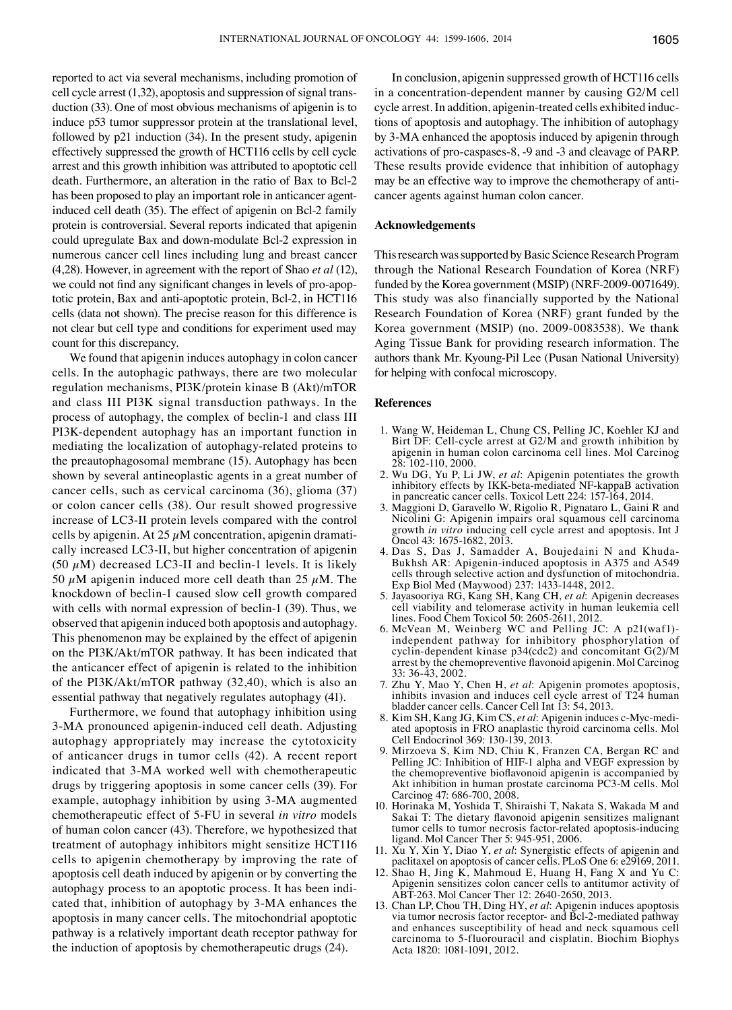reported to act via several mechanisms, including promotion of cell cycle arrest (1,32), apoptosis and suppression of signal transduction (33). One of most obvious mechanisms of apigenin is to induce p53 tumor suppressor protein at the translational level, followed by p21 induction (34). In the present study, apigenin effectively suppressed the growth of HCT116 cells by cell cycle arrest and this growth inhibition was attributed to apoptotic cell death. Furthermore, an alteration in the ratio of Bax to Bcl-2 has been proposed to play an important role in anticancer agentinduced cell death (35). The effect of apigenin on Bcl-2 family protein is controversial. Several reports indicated that apigenin could upregulate Bax and down-modulate Bcl-2 expression in numerous cancer cell lines including lung and breast cancer (4,28). However, in agreement with the report of Shao *et al* (12), we could not find any significant changes in levels of pro-apoptotic protein, Bax and anti-apoptotic protein, Bcl-2, in HCT116 cells (data not shown). The precise reason for this difference is not clear but cell type and conditions for experiment used may count for this discrepancy.

We found that apigenin induces autophagy in colon cancer cells. In the autophagic pathways, there are two molecular regulation mechanisms, PI3K/protein kinase B (Akt)/mTOR and class III PI3K signal transduction pathways. In the process of autophagy, the complex of beclin-1 and class III PI3K‑dependent autophagy has an important function in mediating the localization of autophagy-related proteins to the preautophagosomal membrane (15). Autophagy has been shown by several antineoplastic agents in a great number of cancer cells, such as cervical carcinoma (36), glioma (37) or colon cancer cells (38). Our result showed progressive increase of LC3-II protein levels compared with the control cells by apigenin. At  $25 \mu$ M concentration, apigenin dramatically increased LC3-II, but higher concentration of apigenin (50  $\mu$ M) decreased LC3-II and beclin-1 levels. It is likely 50  $\mu$ M apigenin induced more cell death than 25  $\mu$ M. The knockdown of beclin-1 caused slow cell growth compared with cells with normal expression of beclin-1 (39). Thus, we observed that apigenin induced both apoptosis and autophagy. This phenomenon may be explained by the effect of apigenin on the PI3K/Akt/mTOR pathway. It has been indicated that the anticancer effect of apigenin is related to the inhibition of the PI3K/Akt/mTOR pathway (32,40), which is also an essential pathway that negatively regulates autophagy (41).

Furthermore, we found that autophagy inhibition using 3-MA pronounced apigenin-induced cell death. Adjusting autophagy appropriately may increase the cytotoxicity of anticancer drugs in tumor cells (42). A recent report indicated that 3-MA worked well with chemotherapeutic drugs by triggering apoptosis in some cancer cells (39). For example, autophagy inhibition by using 3-MA augmented chemotherapeutic effect of 5-FU in several *in vitro* models of human colon cancer (43). Therefore, we hypothesized that treatment of autophagy inhibitors might sensitize HCT116 cells to apigenin chemotherapy by improving the rate of apoptosis cell death induced by apigenin or by converting the autophagy process to an apoptotic process. It has been indicated that, inhibition of autophagy by 3-MA enhances the apoptosis in many cancer cells. The mitochondrial apoptotic pathway is a relatively important death receptor pathway for the induction of apoptosis by chemotherapeutic drugs (24).

In conclusion, apigenin suppressed growth of HCT116 cells in a concentration-dependent manner by causing G2/M cell cycle arrest. In addition, apigenin-treated cells exhibited inductions of apoptosis and autophagy. The inhibition of autophagy by 3-MA enhanced the apoptosis induced by apigenin through activations of pro-caspases-8, -9 and -3 and cleavage of PARP. These results provide evidence that inhibition of autophagy may be an effective way to improve the chemotherapy of anticancer agents against human colon cancer.

## **Acknowledgements**

This research was supported by Basic Science Research Program through the National Research Foundation of Korea (NRF) funded by the Korea government (MSIP) (NRF-2009-0071649). This study was also financially supported by the National Research Foundation of Korea (NRF) grant funded by the Korea government (MSIP) (no. 2009‑0083538). We thank Aging Tissue Bank for providing research information. The authors thank Mr. Kyoung-Pil Lee (Pusan National University) for helping with confocal microscopy.

#### **References**

- 1. Wang W, Heideman L, Chung CS, Pelling JC, Koehler KJ and Birt DF: Cell-cycle arrest at G2/M and growth inhibition by apigenin in human colon carcinoma cell lines. Mol Carcinog 28: 102-110, 2000.
- 2. Wu DG, Yu P, Li JW, *et al*: Apigenin potentiates the growth inhibitory effects by IKK-beta-mediated NF-kappaB activation in pancreatic cancer cells. Toxicol Lett 224: 157-164, 2014.
- 3. Maggioni D, Garavello W, Rigolio R, Pignataro L, Gaini R and Nicolini G: Apigenin impairs oral squamous cell carcinoma growth *in vitro* inducing cell cycle arrest and apoptosis. Int J Oncol 43: 1675-1682, 2013.
- 4. Das S, Das J, Samadder A, Boujedaini N and Khuda-Bukhsh AR: Apigenin-induced apoptosis in A375 and A549 cells through selective action and dysfunction of mitochondria. Exp Biol Med (Maywood) 237: 1433-1448, 2012.
- 5. Jayasooriya RG, Kang SH, Kang CH, *et al*: Apigenin decreases cell viability and telomerase activity in human leukemia cell lines. Food Chem Toxicol 50: 2605-2611, 2012.
- 6. McVean M, Weinberg WC and Pelling JC: A p21(waf1) independent pathway for inhibitory phosphorylation of cyclin-dependent kinase p34(cdc2) and concomitant G(2)/M arrest by the chemopreventive flavonoid apigenin. Mol Carcinog 33: 36-43, 2002.
- 7. Zhu Y, Mao Y, Chen H, *et al*: Apigenin promotes apoptosis, inhibits invasion and induces cell cycle arrest of T24 human bladder cancer cells. Cancer Cell Int 13: 54, 2013.
- 8. Kim SH, Kang JG, Kim CS, *et al*: Apigenin induces c-Myc‑mediated apoptosis in FRO anaplastic thyroid carcinoma cells. Mol Cell Endocrinol 369: 130-139, 2013.
- 9. Mirzoeva S, Kim ND, Chiu K, Franzen CA, Bergan RC and Pelling JC: Inhibition of HIF-1 alpha and VEGF expression by the chemopreventive bioflavonoid apigenin is accompanied by Akt inhibition in human prostate carcinoma PC3-M cells. Mol Carcinog 47: 686-700, 2008.
- 10. Horinaka M, Yoshida T, Shiraishi T, Nakata S, Wakada M and Sakai T: The dietary flavonoid apigenin sensitizes malignant tumor cells to tumor necrosis factor-related apoptosis-inducing ligand. Mol Cancer Ther 5: 945-951, 2006.
- 11. Xu Y, Xin Y, Diao Y, *et al*: Synergistic effects of apigenin and paclitaxel on apoptosis of cancer cells. PLoS One 6: e29169, 2011.
- 12. Shao H, Jing K, Mahmoud E, Huang H, Fang X and Yu C: Apigenin sensitizes colon cancer cells to antitumor activity of ABT-263. Mol Cancer Ther 12: 2640-2650, 2013.
- 13. Chan LP, Chou TH, Ding HY, *et al*: Apigenin induces apoptosis via tumor necrosis factor receptor- and Bcl-2-mediated pathway and enhances susceptibility of head and neck squamous cell carcinoma to 5-fluorouracil and cisplatin. Biochim Biophys Acta 1820: 1081-1091, 2012.